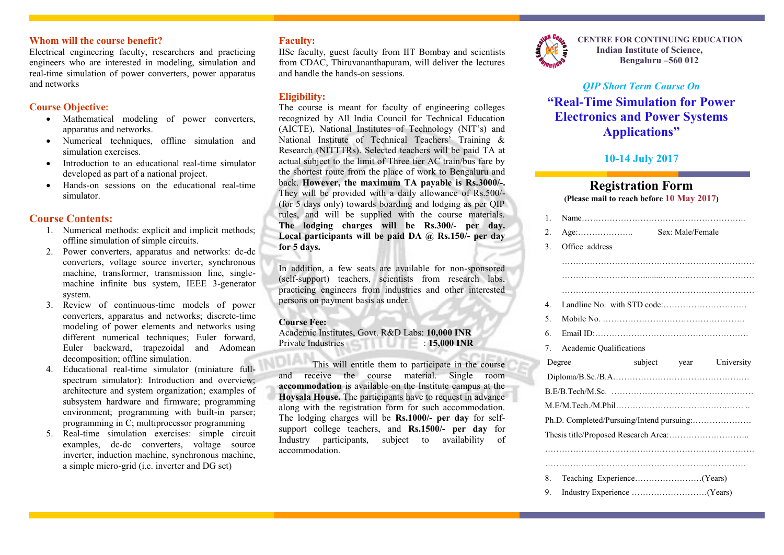#### **Whom will the course benefit?**

Electrical engineering faculty, researchers and practicing engineers who are interested in modeling, simulation and real-time simulation of power converters, power apparatus and networks

### **Course Objective:**

- Mathematical modeling of power converters, apparatus and networks.
- Numerical techniques, offline simulation and simulation exercises.
- Introduction to an educational real-time simulator developed as part of a national project.
- Hands-on sessions on the educational real-time simulator.

## **Course Contents:**

- 1. Numerical methods: explicit and implicit methods; offline simulation of simple circuits.
- 2. Power converters, apparatus and networks: dc-dc converters, voltage source inverter, synchronous machine, transformer, transmission line, singlemachine infinite bus system, IEEE 3-generator system.
- 3. Review of continuous-time models of power converters, apparatus and networks; discrete-time modeling of power elements and networks using different numerical techniques: Euler forward, Euler backward, trapezoidal and Adomean decomposition; offline simulation.
- 4. Educational real-time simulator (miniature fullspectrum simulator): Introduction and overview; architecture and system organization; examples of subsystem hardware and firmware; programming environment; programming with built-in parser; programming in C; multiprocessor programming
- 5. Real-time simulation exercises: simple circuit examples, dc-dc converters, voltage source inverter, induction machine, synchronous machine, a simple micro-grid (i.e. inverter and DG set)

#### **Faculty:**

IISc faculty, guest faculty from IIT Bombay and scientists from CDAC, Thiruvananthapuram, will deliver the lectures and handle the hands-on sessions.

#### **Eligibility:**

The course is meant for faculty of engineering colleges recognized by All India Council for Technical Education (AICTE), National Institutes of Technology (NIT's) and National Institute of Technical Teachers' Training & Research (NITTTRs). Selected teachers will be paid TA at actual subject to the limit of Three tier AC train/bus fare by the shortest route from the place of work to Bengaluru and back. **However, the maximum TA payable is Rs.3000/-.** They will be provided with a daily allowance of Rs.500/- (for 5 days only) towards boarding and lodging as per QIP rules, and will be supplied with the course materials. **The lodging charges will be Rs.300/- per day. Local participants will be paid DA @ Rs.150/- per day for 5 days.**

In addition, a few seats are available for non-sponsored (self-support) teachers, scientists from research labs, practicing engineers from industries and other interested persons on payment basis as under.

#### **Course Fee:**

Academic Institutes, Govt. R&D Labs: **10,000 INR** Private Industries : **15,000 INR**

This will entitle them to participate in the course and receive the course material. Single room **accommodation** is available on the Institute campus at the **Hoysala House.** The participants have to request in advance along with the registration form for such accommodation. The lodging charges will be **Rs.1000/- per day** for selfsupport college teachers, and **Rs.1500/- per day** for Industry participants, subject to availability of accommodation.



**CENTRE FOR CONTINUING EDUCATION Indian Institute of Science, Bengaluru –560 012**

## *QIP Short Term Course On*

**"Real-Time Simulation for Power Electronics and Power Systems Applications"**

## **10-14 July 2017**

# **Registration Form**

**(Please mail to reach before 10 May 2017)**

|  | $\mathbf{1}$                              |                                           |  |                  |            |  |
|--|-------------------------------------------|-------------------------------------------|--|------------------|------------|--|
|  | 2.                                        | $Age: \ldots \ldots \ldots \ldots \ldots$ |  | Sex: Male/Female |            |  |
|  | 3.                                        | Office address                            |  |                  |            |  |
|  |                                           |                                           |  |                  |            |  |
|  |                                           |                                           |  |                  |            |  |
|  |                                           |                                           |  |                  |            |  |
|  | 4                                         |                                           |  |                  |            |  |
|  | 5 <sub>1</sub>                            |                                           |  |                  |            |  |
|  | 6                                         |                                           |  |                  |            |  |
|  | $7_{\scriptscriptstyle{\circ}}$           | <b>Academic Qualifications</b>            |  |                  |            |  |
|  |                                           | Degree                                    |  | subject year     | University |  |
|  |                                           |                                           |  |                  |            |  |
|  |                                           |                                           |  |                  |            |  |
|  |                                           |                                           |  |                  |            |  |
|  | Ph.D. Completed/Pursuing/Intend pursuing: |                                           |  |                  |            |  |
|  |                                           |                                           |  |                  |            |  |
|  |                                           |                                           |  |                  |            |  |
|  |                                           |                                           |  |                  |            |  |
|  | 8.                                        |                                           |  |                  |            |  |
|  | 9.                                        |                                           |  |                  |            |  |
|  |                                           |                                           |  |                  |            |  |